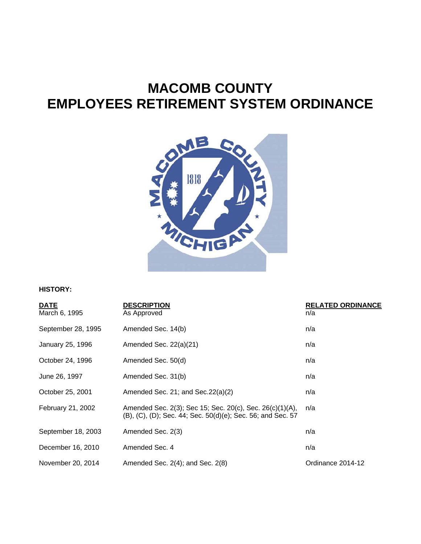# **MACOMB COUNTY EMPLOYEES RETIREMENT SYSTEM ORDINANCE**



# **HISTORY:**

| <u>DATE</u>        | <b>DESCRIPTION</b>                                                                                                      | <b>RELATED ORDINANCE</b> |
|--------------------|-------------------------------------------------------------------------------------------------------------------------|--------------------------|
| March 6, 1995      | As Approved                                                                                                             | n/a                      |
| September 28, 1995 | Amended Sec. 14(b)                                                                                                      | n/a                      |
| January 25, 1996   | Amended Sec. $22(a)(21)$                                                                                                | n/a                      |
| October 24, 1996   | Amended Sec. 50(d)                                                                                                      | n/a                      |
| June 26, 1997      | Amended Sec. 31(b)                                                                                                      | n/a                      |
| October 25, 2001   | Amended Sec. 21; and Sec. 22(a)(2)                                                                                      | n/a                      |
| February 21, 2002  | Amended Sec. 2(3); Sec 15; Sec. 20(c), Sec. 26(c)(1)(A),<br>(B), (C), (D); Sec. 44; Sec. 50(d)(e); Sec. 56; and Sec. 57 | n/a                      |
| September 18, 2003 | Amended Sec. 2(3)                                                                                                       | n/a                      |
| December 16, 2010  | Amended Sec. 4                                                                                                          | n/a                      |
| November 20, 2014  | Amended Sec. $2(4)$ ; and Sec. $2(8)$                                                                                   | Ordinance 2014-12        |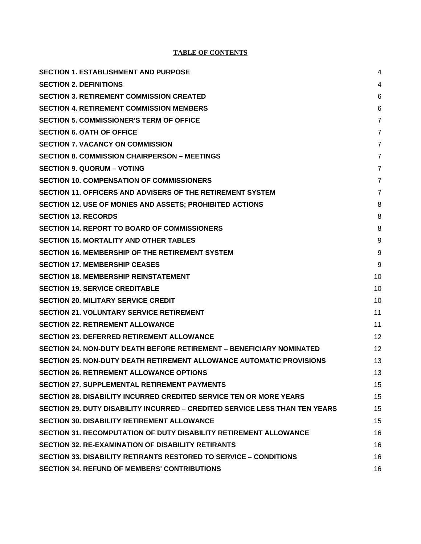# **TABLE OF CONTENTS**

| <b>SECTION 1. ESTABLISHMENT AND PURPOSE</b>                                 | 4              |
|-----------------------------------------------------------------------------|----------------|
| <b>SECTION 2. DEFINITIONS</b>                                               | 4              |
| <b>SECTION 3. RETIREMENT COMMISSION CREATED</b>                             | 6              |
| <b>SECTION 4. RETIREMENT COMMISSION MEMBERS</b>                             | 6              |
| <b>SECTION 5. COMMISSIONER'S TERM OF OFFICE</b>                             | $\overline{7}$ |
| <b>SECTION 6. OATH OF OFFICE</b>                                            | $\overline{7}$ |
| <b>SECTION 7. VACANCY ON COMMISSION</b>                                     | $\overline{7}$ |
| <b>SECTION 8. COMMISSION CHAIRPERSON - MEETINGS</b>                         | $\overline{7}$ |
| <b>SECTION 9. QUORUM - VOTING</b>                                           | $\overline{7}$ |
| <b>SECTION 10. COMPENSATION OF COMMISSIONERS</b>                            | $\overline{7}$ |
| SECTION 11. OFFICERS AND ADVISERS OF THE RETIREMENT SYSTEM                  | 7              |
| <b>SECTION 12. USE OF MONIES AND ASSETS; PROHIBITED ACTIONS</b>             | 8              |
| <b>SECTION 13. RECORDS</b>                                                  | 8              |
| <b>SECTION 14. REPORT TO BOARD OF COMMISSIONERS</b>                         | 8              |
| <b>SECTION 15. MORTALITY AND OTHER TABLES</b>                               | 9              |
| <b>SECTION 16. MEMBERSHIP OF THE RETIREMENT SYSTEM</b>                      | 9              |
| <b>SECTION 17. MEMBERSHIP CEASES</b>                                        | 9              |
| <b>SECTION 18. MEMBERSHIP REINSTATEMENT</b>                                 | 10             |
| <b>SECTION 19. SERVICE CREDITABLE</b>                                       | 10             |
| <b>SECTION 20. MILITARY SERVICE CREDIT</b>                                  | 10             |
| <b>SECTION 21. VOLUNTARY SERVICE RETIREMENT</b>                             | 11             |
| <b>SECTION 22. RETIREMENT ALLOWANCE</b>                                     | 11             |
| <b>SECTION 23. DEFERRED RETIREMENT ALLOWANCE</b>                            | 12             |
| SECTION 24. NON-DUTY DEATH BEFORE RETIREMENT - BENEFICIARY NOMINATED        | 12             |
| SECTION 25. NON-DUTY DEATH RETIREMENT ALLOWANCE AUTOMATIC PROVISIONS        | 13             |
| <b>SECTION 26. RETIREMENT ALLOWANCE OPTIONS</b>                             | 13             |
| <b>SECTION 27. SUPPLEMENTAL RETIREMENT PAYMENTS</b>                         | 15             |
| SECTION 28. DISABILITY INCURRED CREDITED SERVICE TEN OR MORE YEARS          | 15             |
| SECTION 29. DUTY DISABILITY INCURRED - CREDITED SERVICE LESS THAN TEN YEARS | 15             |
| <b>SECTION 30. DISABILITY RETIREMENT ALLOWANCE</b>                          | 15             |
| <b>SECTION 31. RECOMPUTATION OF DUTY DISABILITY RETIREMENT ALLOWANCE</b>    | 16             |
| <b>SECTION 32. RE-EXAMINATION OF DISABILITY RETIRANTS</b>                   | 16             |
| <b>SECTION 33. DISABILITY RETIRANTS RESTORED TO SERVICE - CONDITIONS</b>    | 16             |
| <b>SECTION 34. REFUND OF MEMBERS' CONTRIBUTIONS</b>                         | 16             |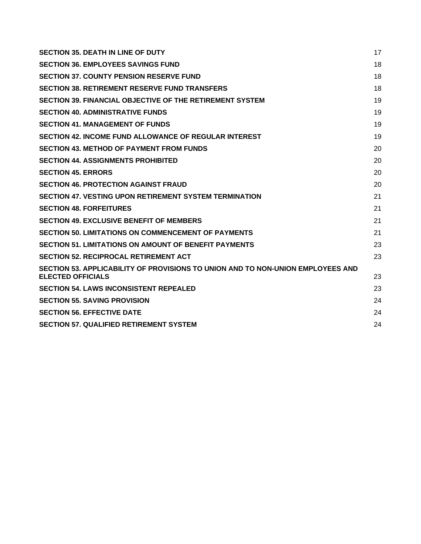| <b>SECTION 35. DEATH IN LINE OF DUTY</b>                                                                    | 17 |
|-------------------------------------------------------------------------------------------------------------|----|
| <b>SECTION 36. EMPLOYEES SAVINGS FUND</b>                                                                   | 18 |
| <b>SECTION 37, COUNTY PENSION RESERVE FUND</b>                                                              | 18 |
| <b>SECTION 38. RETIREMENT RESERVE FUND TRANSFERS</b>                                                        | 18 |
| SECTION 39. FINANCIAL OBJECTIVE OF THE RETIREMENT SYSTEM                                                    | 19 |
| <b>SECTION 40. ADMINISTRATIVE FUNDS</b>                                                                     | 19 |
| <b>SECTION 41. MANAGEMENT OF FUNDS</b>                                                                      | 19 |
| <b>SECTION 42. INCOME FUND ALLOWANCE OF REGULAR INTEREST</b>                                                | 19 |
| <b>SECTION 43. METHOD OF PAYMENT FROM FUNDS</b>                                                             | 20 |
| <b>SECTION 44. ASSIGNMENTS PROHIBITED</b>                                                                   | 20 |
| <b>SECTION 45. ERRORS</b>                                                                                   | 20 |
| <b>SECTION 46. PROTECTION AGAINST FRAUD</b>                                                                 | 20 |
| <b>SECTION 47. VESTING UPON RETIREMENT SYSTEM TERMINATION</b>                                               | 21 |
| <b>SECTION 48. FORFEITURES</b>                                                                              | 21 |
| <b>SECTION 49. EXCLUSIVE BENEFIT OF MEMBERS</b>                                                             | 21 |
| <b>SECTION 50. LIMITATIONS ON COMMENCEMENT OF PAYMENTS</b>                                                  | 21 |
| <b>SECTION 51. LIMITATIONS ON AMOUNT OF BENEFIT PAYMENTS</b>                                                | 23 |
| <b>SECTION 52. RECIPROCAL RETIREMENT ACT</b>                                                                | 23 |
| SECTION 53. APPLICABILITY OF PROVISIONS TO UNION AND TO NON-UNION EMPLOYEES AND<br><b>ELECTED OFFICIALS</b> | 23 |
| <b>SECTION 54. LAWS INCONSISTENT REPEALED</b>                                                               | 23 |
| <b>SECTION 55, SAVING PROVISION</b>                                                                         | 24 |
| <b>SECTION 56. EFFECTIVE DATE</b>                                                                           | 24 |
| <b>SECTION 57. QUALIFIED RETIREMENT SYSTEM</b>                                                              | 24 |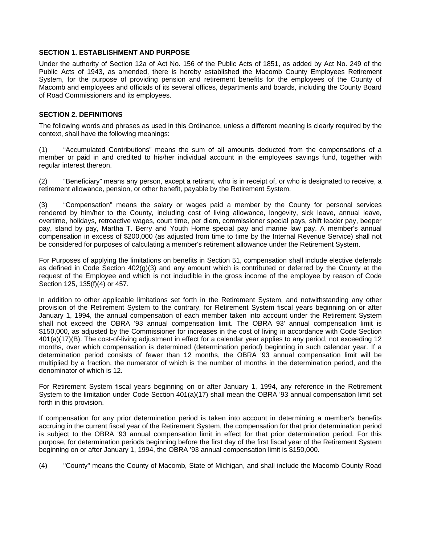#### <span id="page-3-0"></span>**SECTION 1. ESTABLISHMENT AND PURPOSE**

Under the authority of Section 12a of Act No. 156 of the Public Acts of 1851, as added by Act No. 249 of the Public Acts of 1943, as amended, there is hereby established the Macomb County Employees Retirement System, for the purpose of providing pension and retirement benefits for the employees of the County of Macomb and employees and officials of its several offices, departments and boards, including the County Board of Road Commissioners and its employees.

#### **SECTION 2. DEFINITIONS**

The following words and phrases as used in this Ordinance, unless a different meaning is clearly required by the context, shall have the following meanings:

(1) "Accumulated Contributions" means the sum of all amounts deducted from the compensations of a member or paid in and credited to his/her individual account in the employees savings fund, together with regular interest thereon.

(2) "Beneficiary" means any person, except a retirant, who is in receipt of, or who is designated to receive, a retirement allowance, pension, or other benefit, payable by the Retirement System.

(3) "Compensation" means the salary or wages paid a member by the County for personal services rendered by him/her to the County, including cost of living allowance, longevity, sick leave, annual leave, overtime, holidays, retroactive wages, court time, per diem, commissioner special pays, shift leader pay, beeper pay, stand by pay, Martha T. Berry and Youth Home special pay and marine law pay. A member's annual compensation in excess of \$200,000 (as adjusted from time to time by the Internal Revenue Service) shall not be considered for purposes of calculating a member's retirement allowance under the Retirement System.

For Purposes of applying the limitations on benefits in Section 51, compensation shall include elective deferrals as defined in Code Section 402(g)(3) and any amount which is contributed or deferred by the County at the request of the Employee and which is not includible in the gross income of the employee by reason of Code Section 125, 135(f)(4) or 457.

In addition to other applicable limitations set forth in the Retirement System, and notwithstanding any other provision of the Retirement System to the contrary, for Retirement System fiscal years beginning on or after January 1, 1994, the annual compensation of each member taken into account under the Retirement System shall not exceed the OBRA '93 annual compensation limit. The OBRA 93' annual compensation limit is \$150,000, as adjusted by the Commissioner for increases in the cost of living in accordance with Code Section 401(a)(17)(B). The cost-of-living adjustment in effect for a calendar year applies to any period, not exceeding 12 months, over which compensation is determined (determination period) beginning in such calendar year. If a determination period consists of fewer than 12 months, the OBRA '93 annual compensation limit will be multiplied by a fraction, the numerator of which is the number of months in the determination period, and the denominator of which is 12.

For Retirement System fiscal years beginning on or after January 1, 1994, any reference in the Retirement System to the limitation under Code Section 401(a)(17) shall mean the OBRA '93 annual compensation limit set forth in this provision.

If compensation for any prior determination period is taken into account in determining a member's benefits accruing in the current fiscal year of the Retirement System, the compensation for that prior determination period is subject to the OBRA '93 annual compensation limit in effect for that prior determination period. For this purpose, for determination periods beginning before the first day of the first fiscal year of the Retirement System beginning on or after January 1, 1994, the OBRA '93 annual compensation limit is \$150,000.

(4) "County" means the County of Macomb, State of Michigan, and shall include the Macomb County Road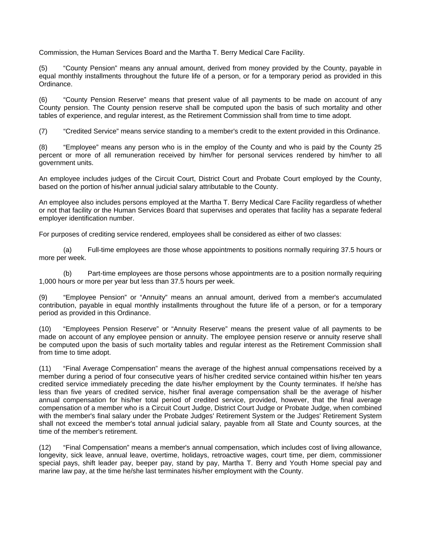Commission, the Human Services Board and the Martha T. Berry Medical Care Facility.

(5) "County Pension" means any annual amount, derived from money provided by the County, payable in equal monthly installments throughout the future life of a person, or for a temporary period as provided in this Ordinance.

(6) "County Pension Reserve" means that present value of all payments to be made on account of any County pension. The County pension reserve shall be computed upon the basis of such mortality and other tables of experience, and regular interest, as the Retirement Commission shall from time to time adopt.

(7) "Credited Service" means service standing to a member's credit to the extent provided in this Ordinance.

(8) "Employee" means any person who is in the employ of the County and who is paid by the County 25 percent or more of all remuneration received by him/her for personal services rendered by him/her to all government units.

An employee includes judges of the Circuit Court, District Court and Probate Court employed by the County, based on the portion of his/her annual judicial salary attributable to the County.

An employee also includes persons employed at the Martha T. Berry Medical Care Facility regardless of whether or not that facility or the Human Services Board that supervises and operates that facility has a separate federal employer identification number.

For purposes of crediting service rendered, employees shall be considered as either of two classes:

 (a) Full-time employees are those whose appointments to positions normally requiring 37.5 hours or more per week.

 (b) Part-time employees are those persons whose appointments are to a position normally requiring 1,000 hours or more per year but less than 37.5 hours per week.

(9) "Employee Pension" or "Annuity" means an annual amount, derived from a member's accumulated contribution, payable in equal monthly installments throughout the future life of a person, or for a temporary period as provided in this Ordinance.

(10) "Employees Pension Reserve" or "Annuity Reserve" means the present value of all payments to be made on account of any employee pension or annuity. The employee pension reserve or annuity reserve shall be computed upon the basis of such mortality tables and regular interest as the Retirement Commission shall from time to time adopt.

(11) "Final Average Compensation" means the average of the highest annual compensations received by a member during a period of four consecutive years of his/her credited service contained within his/her ten years credited service immediately preceding the date his/her employment by the County terminates. If he/she has less than five years of credited service, his/her final average compensation shall be the average of his/her annual compensation for his/her total period of credited service, provided, however, that the final average compensation of a member who is a Circuit Court Judge, District Court Judge or Probate Judge, when combined with the member's final salary under the Probate Judges' Retirement System or the Judges' Retirement System shall not exceed the member's total annual judicial salary, payable from all State and County sources, at the time of the member's retirement.

(12) "Final Compensation" means a member's annual compensation, which includes cost of living allowance, longevity, sick leave, annual leave, overtime, holidays, retroactive wages, court time, per diem, commissioner special pays, shift leader pay, beeper pay, stand by pay, Martha T. Berry and Youth Home special pay and marine law pay, at the time he/she last terminates his/her employment with the County.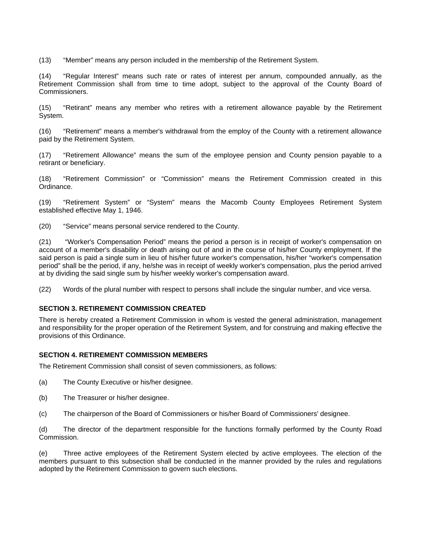<span id="page-5-0"></span>(13) "Member" means any person included in the membership of the Retirement System.

(14) "Regular Interest" means such rate or rates of interest per annum, compounded annually, as the Retirement Commission shall from time to time adopt, subject to the approval of the County Board of Commissioners.

(15) "Retirant" means any member who retires with a retirement allowance payable by the Retirement System.

(16) "Retirement" means a member's withdrawal from the employ of the County with a retirement allowance paid by the Retirement System.

(17) "Retirement Allowance" means the sum of the employee pension and County pension payable to a retirant or beneficiary.

(18) "Retirement Commission" or "Commission" means the Retirement Commission created in this Ordinance.

(19) "Retirement System" or "System" means the Macomb County Employees Retirement System established effective May 1, 1946.

(20) "Service" means personal service rendered to the County.

(21) "Worker's Compensation Period" means the period a person is in receipt of worker's compensation on account of a member's disability or death arising out of and in the course of his/her County employment. If the said person is paid a single sum in lieu of his/her future worker's compensation, his/her "worker's compensation period" shall be the period, if any, he/she was in receipt of weekly worker's compensation, plus the period arrived at by dividing the said single sum by his/her weekly worker's compensation award.

(22) Words of the plural number with respect to persons shall include the singular number, and vice versa.

#### **SECTION 3. RETIREMENT COMMISSION CREATED**

There is hereby created a Retirement Commission in whom is vested the general administration, management and responsibility for the proper operation of the Retirement System, and for construing and making effective the provisions of this Ordinance.

## **SECTION 4. RETIREMENT COMMISSION MEMBERS**

The Retirement Commission shall consist of seven commissioners, as follows:

- (a) The County Executive or his/her designee.
- (b) The Treasurer or his/her designee.
- (c) The chairperson of the Board of Commissioners or his/her Board of Commissioners' designee.

(d) The director of the department responsible for the functions formally performed by the County Road Commission.

(e) Three active employees of the Retirement System elected by active employees. The election of the members pursuant to this subsection shall be conducted in the manner provided by the rules and regulations adopted by the Retirement Commission to govern such elections.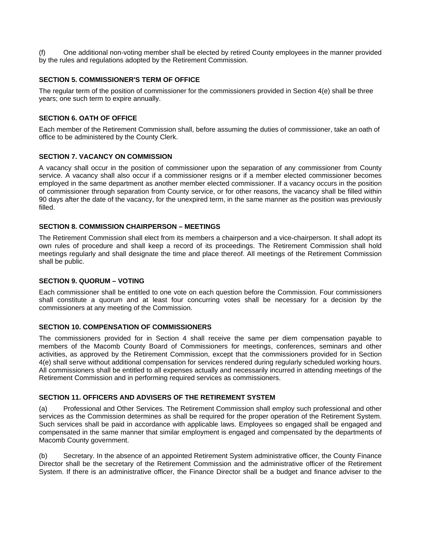<span id="page-6-0"></span>(f) One additional non-voting member shall be elected by retired County employees in the manner provided by the rules and regulations adopted by the Retirement Commission.

# **SECTION 5. COMMISSIONER'S TERM OF OFFICE**

The regular term of the position of commissioner for the commissioners provided in Section 4(e) shall be three years; one such term to expire annually.

# **SECTION 6. OATH OF OFFICE**

Each member of the Retirement Commission shall, before assuming the duties of commissioner, take an oath of office to be administered by the County Clerk.

# **SECTION 7. VACANCY ON COMMISSION**

A vacancy shall occur in the position of commissioner upon the separation of any commissioner from County service. A vacancy shall also occur if a commissioner resigns or if a member elected commissioner becomes employed in the same department as another member elected commissioner. If a vacancy occurs in the position of commissioner through separation from County service, or for other reasons, the vacancy shall be filled within 90 days after the date of the vacancy, for the unexpired term, in the same manner as the position was previously filled.

# **SECTION 8. COMMISSION CHAIRPERSON – MEETINGS**

The Retirement Commission shall elect from its members a chairperson and a vice-chairperson. It shall adopt its own rules of procedure and shall keep a record of its proceedings. The Retirement Commission shall hold meetings regularly and shall designate the time and place thereof. All meetings of the Retirement Commission shall be public.

#### **SECTION 9. QUORUM – VOTING**

Each commissioner shall be entitled to one vote on each question before the Commission. Four commissioners shall constitute a quorum and at least four concurring votes shall be necessary for a decision by the commissioners at any meeting of the Commission.

#### **SECTION 10. COMPENSATION OF COMMISSIONERS**

The commissioners provided for in Section 4 shall receive the same per diem compensation payable to members of the Macomb County Board of Commissioners for meetings, conferences, seminars and other activities, as approved by the Retirement Commission, except that the commissioners provided for in Section 4(e) shall serve without additional compensation for services rendered during regularly scheduled working hours. All commissioners shall be entitled to all expenses actually and necessarily incurred in attending meetings of the Retirement Commission and in performing required services as commissioners.

## **SECTION 11. OFFICERS AND ADVISERS OF THE RETIREMENT SYSTEM**

(a) Professional and Other Services. The Retirement Commission shall employ such professional and other services as the Commission determines as shall be required for the proper operation of the Retirement System. Such services shall be paid in accordance with applicable laws. Employees so engaged shall be engaged and compensated in the same manner that similar employment is engaged and compensated by the departments of Macomb County government.

(b) Secretary. In the absence of an appointed Retirement System administrative officer, the County Finance Director shall be the secretary of the Retirement Commission and the administrative officer of the Retirement System. If there is an administrative officer, the Finance Director shall be a budget and finance adviser to the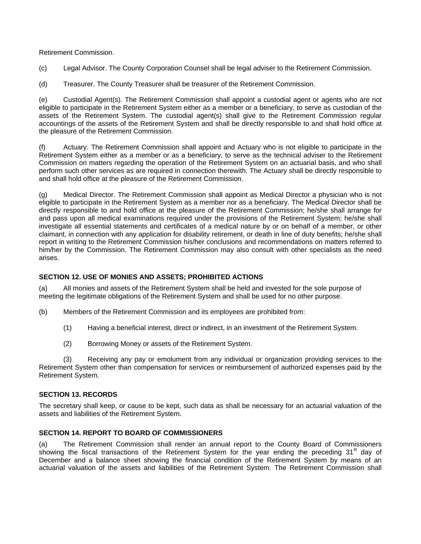<span id="page-7-0"></span>Retirement Commission.

(c) Legal Advisor. The County Corporation Counsel shall be legal adviser to the Retirement Commission.

(d) Treasurer. The County Treasurer shall be treasurer of the Retirement Commission.

(e) Custodial Agent(s). The Retirement Commission shall appoint a custodial agent or agents who are not eligible to participate in the Retirement System either as a member or a beneficiary, to serve as custodian of the assets of the Retirement System. The custodial agent(s) shall give to the Retirement Commission regular accountings of the assets of the Retirement System and shall be directly responsible to and shall hold office at the pleasure of the Retirement Commission.

(f) Actuary. The Retirement Commission shall appoint and Actuary who is not eligible to participate in the Retirement System either as a member or as a beneficiary, to serve as the technical adviser to the Retirement Commission on matters regarding the operation of the Retirement System on an actuarial basis, and who shall perform such other services as are required in connection therewith. The Actuary shall be directly responsible to and shall hold office at the pleasure of the Retirement Commission.

(g) Medical Director. The Retirement Commission shall appoint as Medical Director a physician who is not eligible to participate in the Retirement System as a member nor as a beneficiary. The Medical Director shall be directly responsible to and hold office at the pleasure of the Retirement Commission; he/she shall arrange for and pass upon all medical examinations required under the provisions of the Retirement System; he/she shall investigate all essential statements and certificates of a medical nature by or on behalf of a member, or other claimant, in connection with any application for disability retirement, or death in line of duty benefits; he/she shall report in writing to the Retirement Commission his/her conclusions and recommendations on matters referred to him/her by the Commission. The Retirement Commission may also consult with other specialists as the need arises.

# **SECTION 12. USE OF MONIES AND ASSETS; PROHIBITED ACTIONS**

(a) All monies and assets of the Retirement System shall be held and invested for the sole purpose of meeting the legitimate obligations of the Retirement System and shall be used for no other purpose.

(b) Members of the Retirement Commission and its employees are prohibited from:

- (1) Having a beneficial interest, direct or indirect, in an investment of the Retirement System.
- (2) Borrowing Money or assets of the Retirement System.

 (3) Receiving any pay or emolument from any individual or organization providing services to the Retirement System other than compensation for services or reimbursement of authorized expenses paid by the Retirement System.

# **SECTION 13. RECORDS**

The secretary shall keep, or cause to be kept, such data as shall be necessary for an actuarial valuation of the assets and liabilities of the Retirement System.

# **SECTION 14. REPORT TO BOARD OF COMMISSIONERS**

(a) The Retirement Commission shall render an annual report to the County Board of Commissioners showing the fiscal transactions of the Retirement System for the year ending the preceding  $31<sup>st</sup>$  day of December and a balance sheet showing the financial condition of the Retirement System by means of an actuarial valuation of the assets and liabilities of the Retirement System. The Retirement Commission shall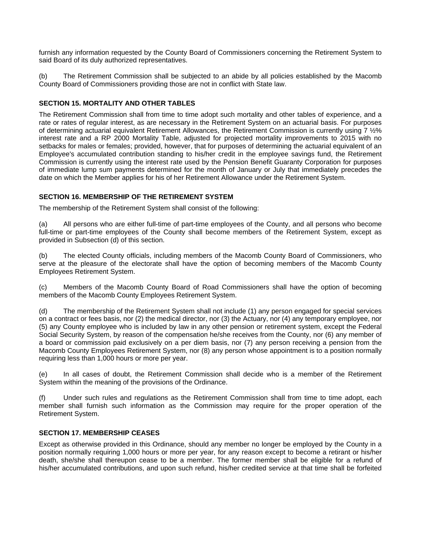<span id="page-8-0"></span>furnish any information requested by the County Board of Commissioners concerning the Retirement System to said Board of its duly authorized representatives.

(b) The Retirement Commission shall be subjected to an abide by all policies established by the Macomb County Board of Commissioners providing those are not in conflict with State law.

# **SECTION 15. MORTALITY AND OTHER TABLES**

The Retirement Commission shall from time to time adopt such mortality and other tables of experience, and a rate or rates of regular interest, as are necessary in the Retirement System on an actuarial basis. For purposes of determining actuarial equivalent Retirement Allowances, the Retirement Commission is currently using 7 ½% interest rate and a RP 2000 Mortality Table, adjusted for projected mortality improvements to 2015 with no setbacks for males or females; provided, however, that for purposes of determining the actuarial equivalent of an Employee's accumulated contribution standing to his/her credit in the employee savings fund, the Retirement Commission is currently using the interest rate used by the Pension Benefit Guaranty Corporation for purposes of immediate lump sum payments determined for the month of January or July that immediately precedes the date on which the Member applies for his of her Retirement Allowance under the Retirement System.

# **SECTION 16. MEMBERSHIP OF THE RETIREMENT SYSTEM**

The membership of the Retirement System shall consist of the following:

(a) All persons who are either full-time of part-time employees of the County, and all persons who become full-time or part-time employees of the County shall become members of the Retirement System, except as provided in Subsection (d) of this section.

(b) The elected County officials, including members of the Macomb County Board of Commissioners, who serve at the pleasure of the electorate shall have the option of becoming members of the Macomb County Employees Retirement System.

(c) Members of the Macomb County Board of Road Commissioners shall have the option of becoming members of the Macomb County Employees Retirement System.

(d) The membership of the Retirement System shall not include (1) any person engaged for special services on a contract or fees basis, nor (2) the medical director, nor (3) the Actuary, nor (4) any temporary employee, nor (5) any County employee who is included by law in any other pension or retirement system, except the Federal Social Security System, by reason of the compensation he/she receives from the County, nor (6) any member of a board or commission paid exclusively on a per diem basis, nor (7) any person receiving a pension from the Macomb County Employees Retirement System, nor (8) any person whose appointment is to a position normally requiring less than 1,000 hours or more per year.

(e) In all cases of doubt, the Retirement Commission shall decide who is a member of the Retirement System within the meaning of the provisions of the Ordinance.

(f) Under such rules and regulations as the Retirement Commission shall from time to time adopt, each member shall furnish such information as the Commission may require for the proper operation of the Retirement System.

#### **SECTION 17. MEMBERSHIP CEASES**

Except as otherwise provided in this Ordinance, should any member no longer be employed by the County in a position normally requiring 1,000 hours or more per year, for any reason except to become a retirant or his/her death, she/she shall thereupon cease to be a member. The former member shall be eligible for a refund of his/her accumulated contributions, and upon such refund, his/her credited service at that time shall be forfeited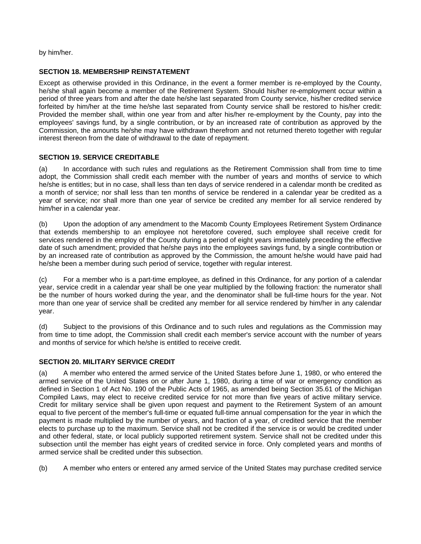<span id="page-9-0"></span>by him/her.

# **SECTION 18. MEMBERSHIP REINSTATEMENT**

Except as otherwise provided in this Ordinance, in the event a former member is re-employed by the County, he/she shall again become a member of the Retirement System. Should his/her re-employment occur within a period of three years from and after the date he/she last separated from County service, his/her credited service forfeited by him/her at the time he/she last separated from County service shall be restored to his/her credit: Provided the member shall, within one year from and after his/her re-employment by the County, pay into the employees' savings fund, by a single contribution, or by an increased rate of contribution as approved by the Commission, the amounts he/she may have withdrawn therefrom and not returned thereto together with regular interest thereon from the date of withdrawal to the date of repayment.

# **SECTION 19. SERVICE CREDITABLE**

(a) In accordance with such rules and regulations as the Retirement Commission shall from time to time adopt, the Commission shall credit each member with the number of years and months of service to which he/she is entitles; but in no case, shall less than ten days of service rendered in a calendar month be credited as a month of service; nor shall less than ten months of service be rendered in a calendar year be credited as a year of service; nor shall more than one year of service be credited any member for all service rendered by him/her in a calendar year.

(b) Upon the adoption of any amendment to the Macomb County Employees Retirement System Ordinance that extends membership to an employee not heretofore covered, such employee shall receive credit for services rendered in the employ of the County during a period of eight years immediately preceding the effective date of such amendment; provided that he/she pays into the employees savings fund, by a single contribution or by an increased rate of contribution as approved by the Commission, the amount he/she would have paid had he/she been a member during such period of service, together with regular interest.

(c) For a member who is a part-time employee, as defined in this Ordinance, for any portion of a calendar year, service credit in a calendar year shall be one year multiplied by the following fraction: the numerator shall be the number of hours worked during the year, and the denominator shall be full-time hours for the year. Not more than one year of service shall be credited any member for all service rendered by him/her in any calendar year.

(d) Subject to the provisions of this Ordinance and to such rules and regulations as the Commission may from time to time adopt, the Commission shall credit each member's service account with the number of years and months of service for which he/she is entitled to receive credit.

#### **SECTION 20. MILITARY SERVICE CREDIT**

(a) A member who entered the armed service of the United States before June 1, 1980, or who entered the armed service of the United States on or after June 1, 1980, during a time of war or emergency condition as defined in Section 1 of Act No. 190 of the Public Acts of 1965, as amended being Section 35.61 of the Michigan Compiled Laws, may elect to receive credited service for not more than five years of active military service. Credit for military service shall be given upon request and payment to the Retirement System of an amount equal to five percent of the member's full-time or equated full-time annual compensation for the year in which the payment is made multiplied by the number of years, and fraction of a year, of credited service that the member elects to purchase up to the maximum. Service shall not be credited if the service is or would be credited under and other federal, state, or local publicly supported retirement system. Service shall not be credited under this subsection until the member has eight years of credited service in force. Only completed years and months of armed service shall be credited under this subsection.

(b) A member who enters or entered any armed service of the United States may purchase credited service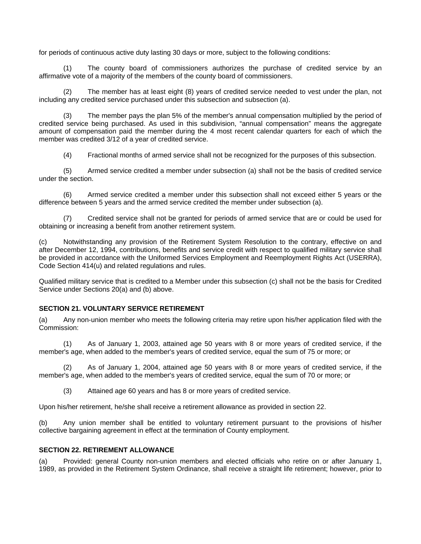<span id="page-10-0"></span>for periods of continuous active duty lasting 30 days or more, subject to the following conditions:

 (1) The county board of commissioners authorizes the purchase of credited service by an affirmative vote of a majority of the members of the county board of commissioners.

 (2) The member has at least eight (8) years of credited service needed to vest under the plan, not including any credited service purchased under this subsection and subsection (a).

The member pays the plan 5% of the member's annual compensation multiplied by the period of credited service being purchased. As used in this subdivision, "annual compensation" means the aggregate amount of compensation paid the member during the 4 most recent calendar quarters for each of which the member was credited 3/12 of a year of credited service.

(4) Fractional months of armed service shall not be recognized for the purposes of this subsection.

 (5) Armed service credited a member under subsection (a) shall not be the basis of credited service under the section.

 (6) Armed service credited a member under this subsection shall not exceed either 5 years or the difference between 5 years and the armed service credited the member under subsection (a).

 (7) Credited service shall not be granted for periods of armed service that are or could be used for obtaining or increasing a benefit from another retirement system.

(c) Notwithstanding any provision of the Retirement System Resolution to the contrary, effective on and after December 12, 1994, contributions, benefits and service credit with respect to qualified military service shall be provided in accordance with the Uniformed Services Employment and Reemployment Rights Act (USERRA), Code Section 414(u) and related regulations and rules.

Qualified military service that is credited to a Member under this subsection (c) shall not be the basis for Credited Service under Sections 20(a) and (b) above.

#### **SECTION 21. VOLUNTARY SERVICE RETIREMENT**

(a) Any non-union member who meets the following criteria may retire upon his/her application filed with the Commission:

 (1) As of January 1, 2003, attained age 50 years with 8 or more years of credited service, if the member's age, when added to the member's years of credited service, equal the sum of 75 or more; or

 (2) As of January 1, 2004, attained age 50 years with 8 or more years of credited service, if the member's age, when added to the member's years of credited service, equal the sum of 70 or more; or

(3) Attained age 60 years and has 8 or more years of credited service.

Upon his/her retirement, he/she shall receive a retirement allowance as provided in section 22.

(b) Any union member shall be entitled to voluntary retirement pursuant to the provisions of his/her collective bargaining agreement in effect at the termination of County employment.

#### **SECTION 22. RETIREMENT ALLOWANCE**

(a) Provided: general County non-union members and elected officials who retire on or after January 1, 1989, as provided in the Retirement System Ordinance, shall receive a straight life retirement; however, prior to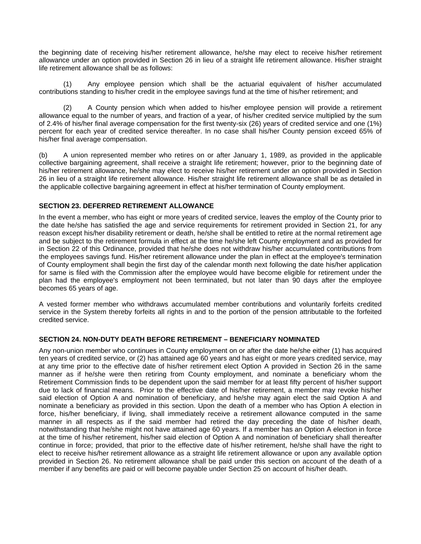<span id="page-11-0"></span>the beginning date of receiving his/her retirement allowance, he/she may elect to receive his/her retirement allowance under an option provided in Section 26 in lieu of a straight life retirement allowance. His/her straight life retirement allowance shall be as follows:

 (1) Any employee pension which shall be the actuarial equivalent of his/her accumulated contributions standing to his/her credit in the employee savings fund at the time of his/her retirement; and

 (2) A County pension which when added to his/her employee pension will provide a retirement allowance equal to the number of years, and fraction of a year, of his/her credited service multiplied by the sum of 2.4% of his/her final average compensation for the first twenty-six (26) years of credited service and one (1%) percent for each year of credited service thereafter. In no case shall his/her County pension exceed 65% of his/her final average compensation.

(b) A union represented member who retires on or after January 1, 1989, as provided in the applicable collective bargaining agreement, shall receive a straight life retirement; however, prior to the beginning date of his/her retirement allowance, he/she may elect to receive his/her retirement under an option provided in Section 26 in lieu of a straight life retirement allowance. His/her straight life retirement allowance shall be as detailed in the applicable collective bargaining agreement in effect at his/her termination of County employment.

# **SECTION 23. DEFERRED RETIREMENT ALLOWANCE**

In the event a member, who has eight or more years of credited service, leaves the employ of the County prior to the date he/she has satisfied the age and service requirements for retirement provided in Section 21, for any reason except his/her disability retirement or death, he/she shall be entitled to retire at the normal retirement age and be subject to the retirement formula in effect at the time he/she left County employment and as provided for in Section 22 of this Ordinance, provided that he/she does not withdraw his/her accumulated contributions from the employees savings fund. His/her retirement allowance under the plan in effect at the employee's termination of County employment shall begin the first day of the calendar month next following the date his/her application for same is filed with the Commission after the employee would have become eligible for retirement under the plan had the employee's employment not been terminated, but not later than 90 days after the employee becomes 65 years of age.

A vested former member who withdraws accumulated member contributions and voluntarily forfeits credited service in the System thereby forfeits all rights in and to the portion of the pension attributable to the forfeited credited service.

#### **SECTION 24. NON-DUTY DEATH BEFORE RETIREMENT – BENEFICIARY NOMINATED**

Any non-union member who continues in County employment on or after the date he/she either (1) has acquired ten years of credited service, or (2) has attained age 60 years and has eight or more years credited service, may at any time prior to the effective date of his/her retirement elect Option A provided in Section 26 in the same manner as if he/she were then retiring from County employment, and nominate a beneficiary whom the Retirement Commission finds to be dependent upon the said member for at least fifty percent of his/her support due to lack of financial means. Prior to the effective date of his/her retirement, a member may revoke his/her said election of Option A and nomination of beneficiary, and he/she may again elect the said Option A and nominate a beneficiary as provided in this section. Upon the death of a member who has Option A election in force, his/her beneficiary, if living, shall immediately receive a retirement allowance computed in the same manner in all respects as if the said member had retired the day preceding the date of his/her death, notwithstanding that he/she might not have attained age 60 years. If a member has an Option A election in force at the time of his/her retirement, his/her said election of Option A and nomination of beneficiary shall thereafter continue in force; provided, that prior to the effective date of his/her retirement, he/she shall have the right to elect to receive his/her retirement allowance as a straight life retirement allowance or upon any available option provided in Section 26. No retirement allowance shall be paid under this section on account of the death of a member if any benefits are paid or will become payable under Section 25 on account of his/her death.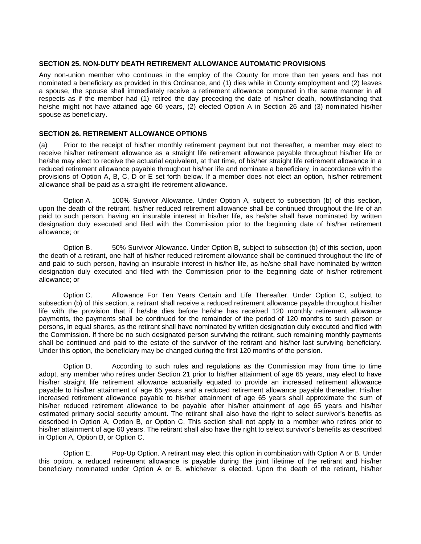#### <span id="page-12-0"></span>**SECTION 25. NON-DUTY DEATH RETIREMENT ALLOWANCE AUTOMATIC PROVISIONS**

Any non-union member who continues in the employ of the County for more than ten years and has not nominated a beneficiary as provided in this Ordinance, and (1) dies while in County employment and (2) leaves a spouse, the spouse shall immediately receive a retirement allowance computed in the same manner in all respects as if the member had (1) retired the day preceding the date of his/her death, notwithstanding that he/she might not have attained age 60 years, (2) elected Option A in Section 26 and (3) nominated his/her spouse as beneficiary.

## **SECTION 26. RETIREMENT ALLOWANCE OPTIONS**

(a) Prior to the receipt of his/her monthly retirement payment but not thereafter, a member may elect to receive his/her retirement allowance as a straight life retirement allowance payable throughout his/her life or he/she may elect to receive the actuarial equivalent, at that time, of his/her straight life retirement allowance in a reduced retirement allowance payable throughout his/her life and nominate a beneficiary, in accordance with the provisions of Option A, B, C, D or E set forth below. If a member does not elect an option, his/her retirement allowance shall be paid as a straight life retirement allowance.

 Option A. 100% Survivor Allowance. Under Option A, subject to subsection (b) of this section, upon the death of the retirant, his/her reduced retirement allowance shall be continued throughout the life of an paid to such person, having an insurable interest in his/her life, as he/she shall have nominated by written designation duly executed and filed with the Commission prior to the beginning date of his/her retirement allowance; or

 Option B. 50% Survivor Allowance. Under Option B, subject to subsection (b) of this section, upon the death of a retirant, one half of his/her reduced retirement allowance shall be continued throughout the life of and paid to such person, having an insurable interest in his/her life, as he/she shall have nominated by written designation duly executed and filed with the Commission prior to the beginning date of his/her retirement allowance; or

 Option C. Allowance For Ten Years Certain and Life Thereafter. Under Option C, subject to subsection (b) of this section, a retirant shall receive a reduced retirement allowance payable throughout his/her life with the provision that if he/she dies before he/she has received 120 monthly retirement allowance payments, the payments shall be continued for the remainder of the period of 120 months to such person or persons, in equal shares, as the retirant shall have nominated by written designation duly executed and filed with the Commission. If there be no such designated person surviving the retirant, such remaining monthly payments shall be continued and paid to the estate of the survivor of the retirant and his/her last surviving beneficiary. Under this option, the beneficiary may be changed during the first 120 months of the pension.

 Option D. According to such rules and regulations as the Commission may from time to time adopt, any member who retires under Section 21 prior to his/her attainment of age 65 years, may elect to have his/her straight life retirement allowance actuarially equated to provide an increased retirement allowance payable to his/her attainment of age 65 years and a reduced retirement allowance payable thereafter. His/her increased retirement allowance payable to his/her attainment of age 65 years shall approximate the sum of his/her reduced retirement allowance to be payable after his/her attainment of age 65 years and his/her estimated primary social security amount. The retirant shall also have the right to select survivor's benefits as described in Option A, Option B, or Option C. This section shall not apply to a member who retires prior to his/her attainment of age 60 years. The retirant shall also have the right to select survivor's benefits as described in Option A, Option B, or Option C.

 Option E. Pop-Up Option. A retirant may elect this option in combination with Option A or B. Under this option, a reduced retirement allowance is payable during the joint lifetime of the retirant and his/her beneficiary nominated under Option A or B, whichever is elected. Upon the death of the retirant, his/her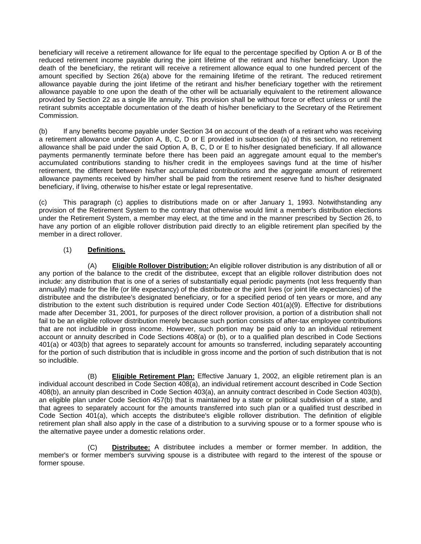beneficiary will receive a retirement allowance for life equal to the percentage specified by Option A or B of the reduced retirement income payable during the joint lifetime of the retirant and his/her beneficiary. Upon the death of the beneficiary, the retirant will receive a retirement allowance equal to one hundred percent of the amount specified by Section 26(a) above for the remaining lifetime of the retirant. The reduced retirement allowance payable during the joint lifetime of the retirant and his/her beneficiary together with the retirement allowance payable to one upon the death of the other will be actuarially equivalent to the retirement allowance provided by Section 22 as a single life annuity. This provision shall be without force or effect unless or until the retirant submits acceptable documentation of the death of his/her beneficiary to the Secretary of the Retirement Commission.

(b) If any benefits become payable under Section 34 on account of the death of a retirant who was receiving a retirement allowance under Option A, B, C, D or E provided in subsection (a) of this section, no retirement allowance shall be paid under the said Option A, B, C, D or E to his/her designated beneficiary. If all allowance payments permanently terminate before there has been paid an aggregate amount equal to the member's accumulated contributions standing to his/her credit in the employees savings fund at the time of his/her retirement, the different between his/her accumulated contributions and the aggregate amount of retirement allowance payments received by him/her shall be paid from the retirement reserve fund to his/her designated beneficiary, if living, otherwise to his/her estate or legal representative.

(c) This paragraph (c) applies to distributions made on or after January 1, 1993. Notwithstanding any provision of the Retirement System to the contrary that otherwise would limit a member's distribution elections under the Retirement System, a member may elect, at the time and in the manner prescribed by Section 26, to have any portion of an eligible rollover distribution paid directly to an eligible retirement plan specified by the member in a direct rollover.

# (1) **Definitions.**

 (A) **Eligible Rollover Distribution:** An eligible rollover distribution is any distribution of all or any portion of the balance to the credit of the distributee, except that an eligible rollover distribution does not include: any distribution that is one of a series of substantially equal periodic payments (not less frequently than annually) made for the life (or life expectancy) of the distributee or the joint lives (or joint life expectancies) of the distributee and the distributee's designated beneficiary, or for a specified period of ten years or more, and any distribution to the extent such distribution is required under Code Section 401(a)(9). Effective for distributions made after December 31, 2001, for purposes of the direct rollover provision, a portion of a distribution shall not fail to be an eligible rollover distribution merely because such portion consists of after-tax employee contributions that are not includible in gross income. However, such portion may be paid only to an individual retirement account or annuity described in Code Sections 408(a) or (b), or to a qualified plan described in Code Sections 401(a) or 403(b) that agrees to separately account for amounts so transferred, including separately accounting for the portion of such distribution that is includible in gross income and the portion of such distribution that is not so includible.

 (B) **Eligible Retirement Plan:** Effective January 1, 2002, an eligible retirement plan is an individual account described in Code Section 408(a), an individual retirement account described in Code Section 408(b), an annuity plan described in Code Section 403(a), an annuity contract described in Code Section 403(b), an eligible plan under Code Section 457(b) that is maintained by a state or political subdivision of a state, and that agrees to separately account for the amounts transferred into such plan or a qualified trust described in Code Section 401(a), which accepts the distributee's eligible rollover distribution. The definition of eligible retirement plan shall also apply in the case of a distribution to a surviving spouse or to a former spouse who is the alternative payee under a domestic relations order.

 (C) **Distributee:** A distributee includes a member or former member. In addition, the member's or former member's surviving spouse is a distributee with regard to the interest of the spouse or former spouse.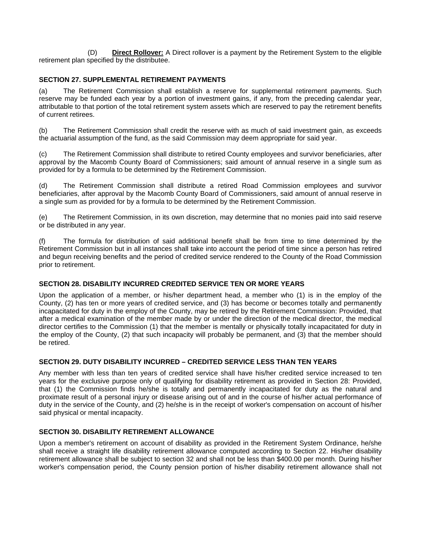<span id="page-14-0"></span> (D) **Direct Rollover:** A Direct rollover is a payment by the Retirement System to the eligible retirement plan specified by the distributee.

# **SECTION 27. SUPPLEMENTAL RETIREMENT PAYMENTS**

(a) The Retirement Commission shall establish a reserve for supplemental retirement payments. Such reserve may be funded each year by a portion of investment gains, if any, from the preceding calendar year, attributable to that portion of the total retirement system assets which are reserved to pay the retirement benefits of current retirees.

(b) The Retirement Commission shall credit the reserve with as much of said investment gain, as exceeds the actuarial assumption of the fund, as the said Commission may deem appropriate for said year.

(c) The Retirement Commission shall distribute to retired County employees and survivor beneficiaries, after approval by the Macomb County Board of Commissioners; said amount of annual reserve in a single sum as provided for by a formula to be determined by the Retirement Commission.

(d) The Retirement Commission shall distribute a retired Road Commission employees and survivor beneficiaries, after approval by the Macomb County Board of Commissioners, said amount of annual reserve in a single sum as provided for by a formula to be determined by the Retirement Commission.

(e) The Retirement Commission, in its own discretion, may determine that no monies paid into said reserve or be distributed in any year.

(f) The formula for distribution of said additional benefit shall be from time to time determined by the Retirement Commission but in all instances shall take into account the period of time since a person has retired and begun receiving benefits and the period of credited service rendered to the County of the Road Commission prior to retirement.

# **SECTION 28. DISABILITY INCURRED CREDITED SERVICE TEN OR MORE YEARS**

Upon the application of a member, or his/her department head, a member who (1) is in the employ of the County, (2) has ten or more years of credited service, and (3) has become or becomes totally and permanently incapacitated for duty in the employ of the County, may be retired by the Retirement Commission: Provided, that after a medical examination of the member made by or under the direction of the medical director, the medical director certifies to the Commission (1) that the member is mentally or physically totally incapacitated for duty in the employ of the County, (2) that such incapacity will probably be permanent, and (3) that the member should be retired.

# **SECTION 29. DUTY DISABILITY INCURRED – CREDITED SERVICE LESS THAN TEN YEARS**

Any member with less than ten years of credited service shall have his/her credited service increased to ten years for the exclusive purpose only of qualifying for disability retirement as provided in Section 28: Provided, that (1) the Commission finds he/she is totally and permanently incapacitated for duty as the natural and proximate result of a personal injury or disease arising out of and in the course of his/her actual performance of duty in the service of the County, and (2) he/she is in the receipt of worker's compensation on account of his/her said physical or mental incapacity.

#### **SECTION 30. DISABILITY RETIREMENT ALLOWANCE**

Upon a member's retirement on account of disability as provided in the Retirement System Ordinance, he/she shall receive a straight life disability retirement allowance computed according to Section 22. His/her disability retirement allowance shall be subject to section 32 and shall not be less than \$400.00 per month. During his/her worker's compensation period, the County pension portion of his/her disability retirement allowance shall not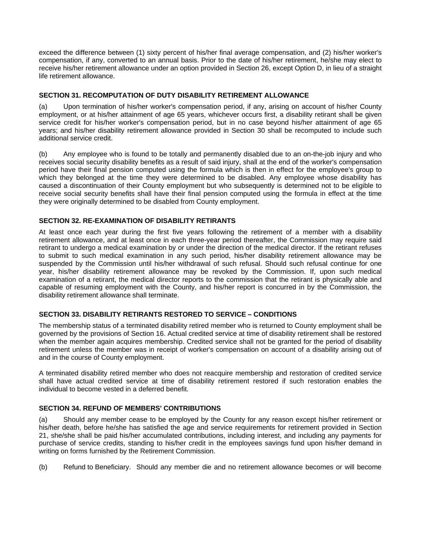<span id="page-15-0"></span>exceed the difference between (1) sixty percent of his/her final average compensation, and (2) his/her worker's compensation, if any, converted to an annual basis. Prior to the date of his/her retirement, he/she may elect to receive his/her retirement allowance under an option provided in Section 26, except Option D, in lieu of a straight life retirement allowance.

# **SECTION 31. RECOMPUTATION OF DUTY DISABILITY RETIREMENT ALLOWANCE**

(a) Upon termination of his/her worker's compensation period, if any, arising on account of his/her County employment, or at his/her attainment of age 65 years, whichever occurs first, a disability retirant shall be given service credit for his/her worker's compensation period, but in no case beyond his/her attainment of age 65 years; and his/her disability retirement allowance provided in Section 30 shall be recomputed to include such additional service credit.

(b) Any employee who is found to be totally and permanently disabled due to an on-the-job injury and who receives social security disability benefits as a result of said injury, shall at the end of the worker's compensation period have their final pension computed using the formula which is then in effect for the employee's group to which they belonged at the time they were determined to be disabled. Any employee whose disability has caused a discontinuation of their County employment but who subsequently is determined not to be eligible to receive social security benefits shall have their final pension computed using the formula in effect at the time they were originally determined to be disabled from County employment.

# **SECTION 32. RE-EXAMINATION OF DISABILITY RETIRANTS**

At least once each year during the first five years following the retirement of a member with a disability retirement allowance, and at least once in each three-year period thereafter, the Commission may require said retirant to undergo a medical examination by or under the direction of the medical director. If the retirant refuses to submit to such medical examination in any such period, his/her disability retirement allowance may be suspended by the Commission until his/her withdrawal of such refusal. Should such refusal continue for one year, his/her disability retirement allowance may be revoked by the Commission. If, upon such medical examination of a retirant, the medical director reports to the commission that the retirant is physically able and capable of resuming employment with the County, and his/her report is concurred in by the Commission, the disability retirement allowance shall terminate.

## **SECTION 33. DISABILITY RETIRANTS RESTORED TO SERVICE – CONDITIONS**

The membership status of a terminated disability retired member who is returned to County employment shall be governed by the provisions of Section 16. Actual credited service at time of disability retirement shall be restored when the member again acquires membership. Credited service shall not be granted for the period of disability retirement unless the member was in receipt of worker's compensation on account of a disability arising out of and in the course of County employment.

A terminated disability retired member who does not reacquire membership and restoration of credited service shall have actual credited service at time of disability retirement restored if such restoration enables the individual to become vested in a deferred benefit.

## **SECTION 34. REFUND OF MEMBERS' CONTRIBUTIONS**

(a) Should any member cease to be employed by the County for any reason except his/her retirement or his/her death, before he/she has satisfied the age and service requirements for retirement provided in Section 21, she/she shall be paid his/her accumulated contributions, including interest, and including any payments for purchase of service credits, standing to his/her credit in the employees savings fund upon his/her demand in writing on forms furnished by the Retirement Commission.

(b) Refund to Beneficiary. Should any member die and no retirement allowance becomes or will become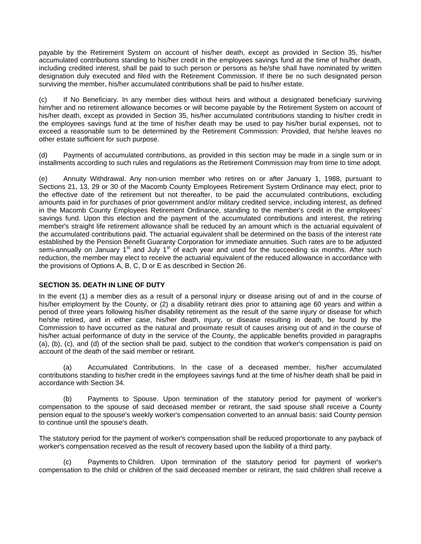<span id="page-16-0"></span>payable by the Retirement System on account of his/her death, except as provided in Section 35, his/her accumulated contributions standing to his/her credit in the employees savings fund at the time of his/her death, including credited interest, shall be paid to such person or persons as he/she shall have nominated by written designation duly executed and filed with the Retirement Commission. If there be no such designated person surviving the member, his/her accumulated contributions shall be paid to his/her estate.

(c) If No Beneficiary. In any member dies without heirs and without a designated beneficiary surviving him/her and no retirement allowance becomes or will become payable by the Retirement System on account of his/her death, except as provided in Section 35, his/her accumulated contributions standing to his/her credit in the employees savings fund at the time of his/her death may be used to pay his/her burial expenses, not to exceed a reasonable sum to be determined by the Retirement Commission: Provided, that he/she leaves no other estate sufficient for such purpose.

(d) Payments of accumulated contributions, as provided in this section may be made in a single sum or in installments according to such rules and regulations as the Retirement Commission may from time to time adopt.

(e) Annuity Withdrawal. Any non-union member who retires on or after January 1, 1988, pursuant to Sections 21, 13, 29 or 30 of the Macomb County Employees Retirement System Ordinance may elect, prior to the effective date of the retirement but not thereafter, to be paid the accumulated contributions, excluding amounts paid in for purchases of prior government and/or military credited service, including interest, as defined in the Macomb County Employees Retirement Ordinance, standing to the member's credit in the employees' savings fund. Upon this election and the payment of the accumulated contributions and interest, the retiring member's straight life retirement allowance shall be reduced by an amount which is the actuarial equivalent of the accumulated contributions paid. The actuarial equivalent shall be determined on the basis of the interest rate established by the Pension Benefit Guaranty Corporation for immediate annuities. Such rates are to be adjusted semi-annually on January 1<sup>st</sup> and July 1<sup>st</sup> of each year and used for the succeeding six months. After such reduction, the member may elect to receive the actuarial equivalent of the reduced allowance in accordance with the provisions of Options A, B, C, D or E as described in Section 26.

#### **SECTION 35. DEATH IN LINE OF DUTY**

In the event (1) a member dies as a result of a personal injury or disease arising out of and in the course of his/her employment by the County, or (2) a disability retirant dies prior to attaining age 60 years and within a period of three years following his/her disability retirement as the result of the same injury or disease for which he/she retired, and in either case, his/her death, injury, or disease resulting in death, be found by the Commission to have occurred as the natural and proximate result of causes arising out of and in the course of his/her actual performance of duty in the service of the County, the applicable benefits provided in paragraphs (a), (b), (c), and (d) of the section shall be paid, subject to the condition that worker's compensation is paid on account of the death of the said member or retirant.

 (a) Accumulated Contributions. In the case of a deceased member, his/her accumulated contributions standing to his/her credit in the employees savings fund at the time of his/her death shall be paid in accordance with Section 34.

 (b) Payments to Spouse. Upon termination of the statutory period for payment of worker's compensation to the spouse of said deceased member or retirant, the said spouse shall receive a County pension equal to the spouse's weekly worker's compensation converted to an annual basis: said County pension to continue until the spouse's death.

The statutory period for the payment of worker's compensation shall be reduced proportionate to any payback of worker's compensation received as the result of recovery based upon the liability of a third party.

 (c) Payments to Children. Upon termination of the statutory period for payment of worker's compensation to the child or children of the said deceased member or retirant, the said children shall receive a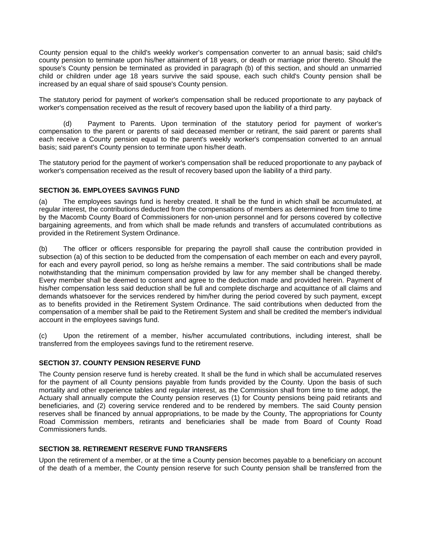<span id="page-17-0"></span>County pension equal to the child's weekly worker's compensation converter to an annual basis; said child's county pension to terminate upon his/her attainment of 18 years, or death or marriage prior thereto. Should the spouse's County pension be terminated as provided in paragraph (b) of this section, and should an unmarried child or children under age 18 years survive the said spouse, each such child's County pension shall be increased by an equal share of said spouse's County pension.

The statutory period for payment of worker's compensation shall be reduced proportionate to any payback of worker's compensation received as the result of recovery based upon the liability of a third party.

 (d) Payment to Parents. Upon termination of the statutory period for payment of worker's compensation to the parent or parents of said deceased member or retirant, the said parent or parents shall each receive a County pension equal to the parent's weekly worker's compensation converted to an annual basis; said parent's County pension to terminate upon his/her death.

The statutory period for the payment of worker's compensation shall be reduced proportionate to any payback of worker's compensation received as the result of recovery based upon the liability of a third party.

# **SECTION 36. EMPLOYEES SAVINGS FUND**

(a) The employees savings fund is hereby created. It shall be the fund in which shall be accumulated, at regular interest, the contributions deducted from the compensations of members as determined from time to time by the Macomb County Board of Commissioners for non-union personnel and for persons covered by collective bargaining agreements, and from which shall be made refunds and transfers of accumulated contributions as provided in the Retirement System Ordinance.

(b) The officer or officers responsible for preparing the payroll shall cause the contribution provided in subsection (a) of this section to be deducted from the compensation of each member on each and every payroll, for each and every payroll period, so long as he/she remains a member. The said contributions shall be made notwithstanding that the minimum compensation provided by law for any member shall be changed thereby. Every member shall be deemed to consent and agree to the deduction made and provided herein. Payment of his/her compensation less said deduction shall be full and complete discharge and acquittance of all claims and demands whatsoever for the services rendered by him/her during the period covered by such payment, except as to benefits provided in the Retirement System Ordinance. The said contributions when deducted from the compensation of a member shall be paid to the Retirement System and shall be credited the member's individual account in the employees savings fund.

(c) Upon the retirement of a member, his/her accumulated contributions, including interest, shall be transferred from the employees savings fund to the retirement reserve.

#### **SECTION 37. COUNTY PENSION RESERVE FUND**

The County pension reserve fund is hereby created. It shall be the fund in which shall be accumulated reserves for the payment of all County pensions payable from funds provided by the County. Upon the basis of such mortality and other experience tables and regular interest, as the Commission shall from time to time adopt, the Actuary shall annually compute the County pension reserves (1) for County pensions being paid retirants and beneficiaries, and (2) covering service rendered and to be rendered by members. The said County pension reserves shall be financed by annual appropriations, to be made by the County, The appropriations for County Road Commission members, retirants and beneficiaries shall be made from Board of County Road Commissioners funds.

#### **SECTION 38. RETIREMENT RESERVE FUND TRANSFERS**

Upon the retirement of a member, or at the time a County pension becomes payable to a beneficiary on account of the death of a member, the County pension reserve for such County pension shall be transferred from the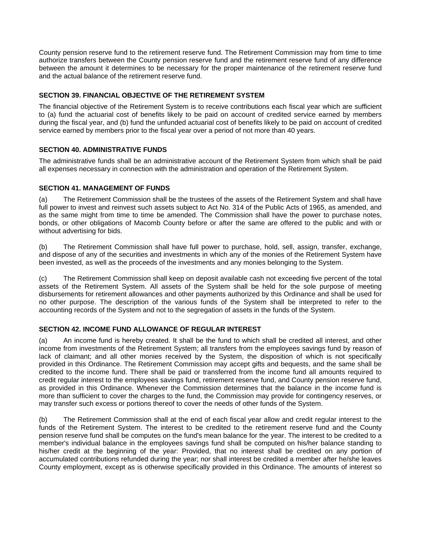<span id="page-18-0"></span>County pension reserve fund to the retirement reserve fund. The Retirement Commission may from time to time authorize transfers between the County pension reserve fund and the retirement reserve fund of any difference between the amount it determines to be necessary for the proper maintenance of the retirement reserve fund and the actual balance of the retirement reserve fund.

# **SECTION 39. FINANCIAL OBJECTIVE OF THE RETIREMENT SYSTEM**

The financial objective of the Retirement System is to receive contributions each fiscal year which are sufficient to (a) fund the actuarial cost of benefits likely to be paid on account of credited service earned by members during the fiscal year, and (b) fund the unfunded actuarial cost of benefits likely to be paid on account of credited service earned by members prior to the fiscal year over a period of not more than 40 years.

# **SECTION 40. ADMINISTRATIVE FUNDS**

The administrative funds shall be an administrative account of the Retirement System from which shall be paid all expenses necessary in connection with the administration and operation of the Retirement System.

# **SECTION 41. MANAGEMENT OF FUNDS**

(a) The Retirement Commission shall be the trustees of the assets of the Retirement System and shall have full power to invest and reinvest such assets subject to Act No. 314 of the Public Acts of 1965, as amended, and as the same might from time to time be amended. The Commission shall have the power to purchase notes, bonds, or other obligations of Macomb County before or after the same are offered to the public and with or without advertising for bids.

(b) The Retirement Commission shall have full power to purchase, hold, sell, assign, transfer, exchange, and dispose of any of the securities and investments in which any of the monies of the Retirement System have been invested, as well as the proceeds of the investments and any monies belonging to the System.

(c) The Retirement Commission shall keep on deposit available cash not exceeding five percent of the total assets of the Retirement System. All assets of the System shall be held for the sole purpose of meeting disbursements for retirement allowances and other payments authorized by this Ordinance and shall be used for no other purpose. The description of the various funds of the System shall be interpreted to refer to the accounting records of the System and not to the segregation of assets in the funds of the System.

# **SECTION 42. INCOME FUND ALLOWANCE OF REGULAR INTEREST**

(a) An income fund is hereby created. It shall be the fund to which shall be credited all interest, and other income from investments of the Retirement System; all transfers from the employees savings fund by reason of lack of claimant; and all other monies received by the System, the disposition of which is not specifically provided in this Ordinance. The Retirement Commission may accept gifts and bequests, and the same shall be credited to the income fund. There shall be paid or transferred from the income fund all amounts required to credit regular interest to the employees savings fund, retirement reserve fund, and County pension reserve fund, as provided in this Ordinance. Whenever the Commission determines that the balance in the income fund is more than sufficient to cover the charges to the fund, the Commission may provide for contingency reserves, or may transfer such excess or portions thereof to cover the needs of other funds of the System.

(b) The Retirement Commission shall at the end of each fiscal year allow and credit regular interest to the funds of the Retirement System. The interest to be credited to the retirement reserve fund and the County pension reserve fund shall be computes on the fund's mean balance for the year. The interest to be credited to a member's individual balance in the employees savings fund shall be computed on his/her balance standing to his/her credit at the beginning of the year: Provided, that no interest shall be credited on any portion of accumulated contributions refunded during the year; nor shall interest be credited a member after he/she leaves County employment, except as is otherwise specifically provided in this Ordinance. The amounts of interest so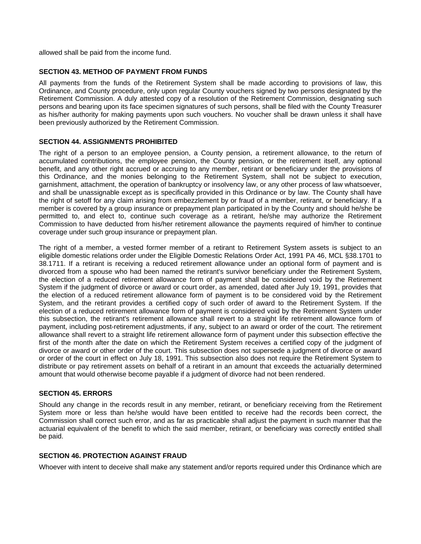<span id="page-19-0"></span>allowed shall be paid from the income fund.

# **SECTION 43. METHOD OF PAYMENT FROM FUNDS**

All payments from the funds of the Retirement System shall be made according to provisions of law, this Ordinance, and County procedure, only upon regular County vouchers signed by two persons designated by the Retirement Commission. A duly attested copy of a resolution of the Retirement Commission, designating such persons and bearing upon its face specimen signatures of such persons, shall be filed with the County Treasurer as his/her authority for making payments upon such vouchers. No voucher shall be drawn unless it shall have been previously authorized by the Retirement Commission.

# **SECTION 44. ASSIGNMENTS PROHIBITED**

The right of a person to an employee pension, a County pension, a retirement allowance, to the return of accumulated contributions, the employee pension, the County pension, or the retirement itself, any optional benefit, and any other right accrued or accruing to any member, retirant or beneficiary under the provisions of this Ordinance, and the monies belonging to the Retirement System, shall not be subject to execution, garnishment, attachment, the operation of bankruptcy or insolvency law, or any other process of law whatsoever, and shall be unassignable except as is specifically provided in this Ordinance or by law. The County shall have the right of setoff for any claim arising from embezzlement by or fraud of a member, retirant, or beneficiary. If a member is covered by a group insurance or prepayment plan participated in by the County and should he/she be permitted to, and elect to, continue such coverage as a retirant, he/she may authorize the Retirement Commission to have deducted from his/her retirement allowance the payments required of him/her to continue coverage under such group insurance or prepayment plan.

The right of a member, a vested former member of a retirant to Retirement System assets is subject to an eligible domestic relations order under the Eligible Domestic Relations Order Act, 1991 PA 46, MCL §38.1701 to 38.1711. If a retirant is receiving a reduced retirement allowance under an optional form of payment and is divorced from a spouse who had been named the retirant's survivor beneficiary under the Retirement System, the election of a reduced retirement allowance form of payment shall be considered void by the Retirement System if the judgment of divorce or award or court order, as amended, dated after July 19, 1991, provides that the election of a reduced retirement allowance form of payment is to be considered void by the Retirement System, and the retirant provides a certified copy of such order of award to the Retirement System. If the election of a reduced retirement allowance form of payment is considered void by the Retirement System under this subsection, the retirant's retirement allowance shall revert to a straight life retirement allowance form of payment, including post-retirement adjustments, if any, subject to an award or order of the court. The retirement allowance shall revert to a straight life retirement allowance form of payment under this subsection effective the first of the month after the date on which the Retirement System receives a certified copy of the judgment of divorce or award or other order of the court. This subsection does not supersede a judgment of divorce or award or order of the court in effect on July 18, 1991. This subsection also does not require the Retirement System to distribute or pay retirement assets on behalf of a retirant in an amount that exceeds the actuarially determined amount that would otherwise become payable if a judgment of divorce had not been rendered.

#### **SECTION 45. ERRORS**

Should any change in the records result in any member, retirant, or beneficiary receiving from the Retirement System more or less than he/she would have been entitled to receive had the records been correct, the Commission shall correct such error, and as far as practicable shall adjust the payment in such manner that the actuarial equivalent of the benefit to which the said member, retirant, or beneficiary was correctly entitled shall be paid.

# **SECTION 46. PROTECTION AGAINST FRAUD**

Whoever with intent to deceive shall make any statement and/or reports required under this Ordinance which are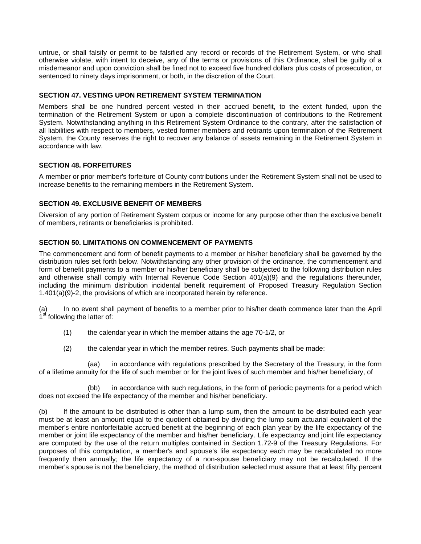<span id="page-20-0"></span>untrue, or shall falsify or permit to be falsified any record or records of the Retirement System, or who shall otherwise violate, with intent to deceive, any of the terms or provisions of this Ordinance, shall be guilty of a misdemeanor and upon conviction shall be fined not to exceed five hundred dollars plus costs of prosecution, or sentenced to ninety days imprisonment, or both, in the discretion of the Court.

# **SECTION 47. VESTING UPON RETIREMENT SYSTEM TERMINATION**

Members shall be one hundred percent vested in their accrued benefit, to the extent funded, upon the termination of the Retirement System or upon a complete discontinuation of contributions to the Retirement System. Notwithstanding anything in this Retirement System Ordinance to the contrary, after the satisfaction of all liabilities with respect to members, vested former members and retirants upon termination of the Retirement System, the County reserves the right to recover any balance of assets remaining in the Retirement System in accordance with law.

# **SECTION 48. FORFEITURES**

A member or prior member's forfeiture of County contributions under the Retirement System shall not be used to increase benefits to the remaining members in the Retirement System.

# **SECTION 49. EXCLUSIVE BENEFIT OF MEMBERS**

Diversion of any portion of Retirement System corpus or income for any purpose other than the exclusive benefit of members, retirants or beneficiaries is prohibited.

# **SECTION 50. LIMITATIONS ON COMMENCEMENT OF PAYMENTS**

The commencement and form of benefit payments to a member or his/her beneficiary shall be governed by the distribution rules set forth below. Notwithstanding any other provision of the ordinance, the commencement and form of benefit payments to a member or his/her beneficiary shall be subjected to the following distribution rules and otherwise shall comply with Internal Revenue Code Section 401(a)(9) and the regulations thereunder, including the minimum distribution incidental benefit requirement of Proposed Treasury Regulation Section 1.401(a)(9)-2, the provisions of which are incorporated herein by reference.

(a) In no event shall payment of benefits to a member prior to his/her death commence later than the April 1<sup>st</sup> following the latter of:

- (1) the calendar year in which the member attains the age 70-1/2, or
- (2) the calendar year in which the member retires. Such payments shall be made:

 (aa) in accordance with regulations prescribed by the Secretary of the Treasury, in the form of a lifetime annuity for the life of such member or for the joint lives of such member and his/her beneficiary, of

 (bb) in accordance with such regulations, in the form of periodic payments for a period which does not exceed the life expectancy of the member and his/her beneficiary.

(b) If the amount to be distributed is other than a lump sum, then the amount to be distributed each year must be at least an amount equal to the quotient obtained by dividing the lump sum actuarial equivalent of the member's entire nonforfeitable accrued benefit at the beginning of each plan year by the life expectancy of the member or joint life expectancy of the member and his/her beneficiary. Life expectancy and joint life expectancy are computed by the use of the return multiples contained in Section 1.72-9 of the Treasury Regulations. For purposes of this computation, a member's and spouse's life expectancy each may be recalculated no more frequently then annually; the life expectancy of a non-spouse beneficiary may not be recalculated. If the member's spouse is not the beneficiary, the method of distribution selected must assure that at least fifty percent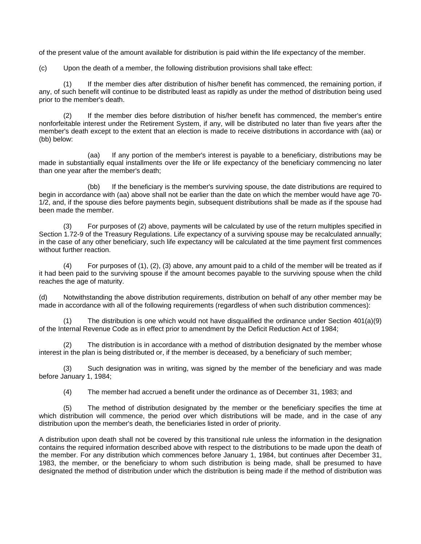of the present value of the amount available for distribution is paid within the life expectancy of the member.

(c) Upon the death of a member, the following distribution provisions shall take effect:

 (1) If the member dies after distribution of his/her benefit has commenced, the remaining portion, if any, of such benefit will continue to be distributed least as rapidly as under the method of distribution being used prior to the member's death.

 (2) If the member dies before distribution of his/her benefit has commenced, the member's entire nonforfeitable interest under the Retirement System, if any, will be distributed no later than five years after the member's death except to the extent that an election is made to receive distributions in accordance with (aa) or (bb) below:

 (aa) If any portion of the member's interest is payable to a beneficiary, distributions may be made in substantially equal installments over the life or life expectancy of the beneficiary commencing no later than one year after the member's death;

 (bb) If the beneficiary is the member's surviving spouse, the date distributions are required to begin in accordance with (aa) above shall not be earlier than the date on which the member would have age 70- 1/2, and, if the spouse dies before payments begin, subsequent distributions shall be made as if the spouse had been made the member.

 (3) For purposes of (2) above, payments will be calculated by use of the return multiples specified in Section 1.72-9 of the Treasury Regulations. Life expectancy of a surviving spouse may be recalculated annually; in the case of any other beneficiary, such life expectancy will be calculated at the time payment first commences without further reaction.

 (4) For purposes of (1), (2), (3) above, any amount paid to a child of the member will be treated as if it had been paid to the surviving spouse if the amount becomes payable to the surviving spouse when the child reaches the age of maturity.

(d) Notwithstanding the above distribution requirements, distribution on behalf of any other member may be made in accordance with all of the following requirements (regardless of when such distribution commences):

(1) The distribution is one which would not have disqualified the ordinance under Section  $401(a)(9)$ of the Internal Revenue Code as in effect prior to amendment by the Deficit Reduction Act of 1984;

 (2) The distribution is in accordance with a method of distribution designated by the member whose interest in the plan is being distributed or, if the member is deceased, by a beneficiary of such member;

 (3) Such designation was in writing, was signed by the member of the beneficiary and was made before January 1, 1984;

(4) The member had accrued a benefit under the ordinance as of December 31, 1983; and

 (5) The method of distribution designated by the member or the beneficiary specifies the time at which distribution will commence, the period over which distributions will be made, and in the case of any distribution upon the member's death, the beneficiaries listed in order of priority.

A distribution upon death shall not be covered by this transitional rule unless the information in the designation contains the required information described above with respect to the distributions to be made upon the death of the member. For any distribution which commences before January 1, 1984, but continues after December 31, 1983, the member, or the beneficiary to whom such distribution is being made, shall be presumed to have designated the method of distribution under which the distribution is being made if the method of distribution was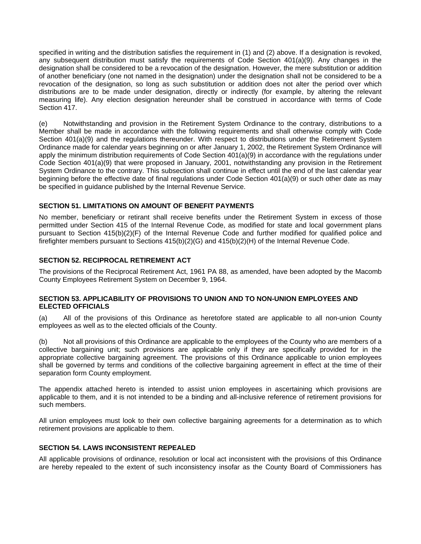<span id="page-22-0"></span>specified in writing and the distribution satisfies the requirement in (1) and (2) above. If a designation is revoked, any subsequent distribution must satisfy the requirements of Code Section 401(a)(9). Any changes in the designation shall be considered to be a revocation of the designation. However, the mere substitution or addition of another beneficiary (one not named in the designation) under the designation shall not be considered to be a revocation of the designation, so long as such substitution or addition does not alter the period over which distributions are to be made under designation, directly or indirectly (for example, by altering the relevant measuring life). Any election designation hereunder shall be construed in accordance with terms of Code Section 417.

(e) Notwithstanding and provision in the Retirement System Ordinance to the contrary, distributions to a Member shall be made in accordance with the following requirements and shall otherwise comply with Code Section 401(a)(9) and the regulations thereunder. With respect to distributions under the Retirement System Ordinance made for calendar years beginning on or after January 1, 2002, the Retirement System Ordinance will apply the minimum distribution requirements of Code Section 401(a)(9) in accordance with the regulations under Code Section 401(a)(9) that were proposed in January, 2001, notwithstanding any provision in the Retirement System Ordinance to the contrary. This subsection shall continue in effect until the end of the last calendar year beginning before the effective date of final regulations under Code Section 401(a)(9) or such other date as may be specified in guidance published by the Internal Revenue Service.

# **SECTION 51. LIMITATIONS ON AMOUNT OF BENEFIT PAYMENTS**

No member, beneficiary or retirant shall receive benefits under the Retirement System in excess of those permitted under Section 415 of the Internal Revenue Code, as modified for state and local government plans pursuant to Section 415(b)(2)(F) of the Internal Revenue Code and further modified for qualified police and firefighter members pursuant to Sections 415(b)(2)(G) and 415(b)(2)(H) of the Internal Revenue Code.

# **SECTION 52. RECIPROCAL RETIREMENT ACT**

The provisions of the Reciprocal Retirement Act, 1961 PA 88, as amended, have been adopted by the Macomb County Employees Retirement System on December 9, 1964.

## **SECTION 53. APPLICABILITY OF PROVISIONS TO UNION AND TO NON-UNION EMPLOYEES AND ELECTED OFFICIALS**

(a) All of the provisions of this Ordinance as heretofore stated are applicable to all non-union County employees as well as to the elected officials of the County.

(b) Not all provisions of this Ordinance are applicable to the employees of the County who are members of a collective bargaining unit; such provisions are applicable only if they are specifically provided for in the appropriate collective bargaining agreement. The provisions of this Ordinance applicable to union employees shall be governed by terms and conditions of the collective bargaining agreement in effect at the time of their separation form County employment.

The appendix attached hereto is intended to assist union employees in ascertaining which provisions are applicable to them, and it is not intended to be a binding and all-inclusive reference of retirement provisions for such members.

All union employees must look to their own collective bargaining agreements for a determination as to which retirement provisions are applicable to them.

#### **SECTION 54. LAWS INCONSISTENT REPEALED**

All applicable provisions of ordinance, resolution or local act inconsistent with the provisions of this Ordinance are hereby repealed to the extent of such inconsistency insofar as the County Board of Commissioners has